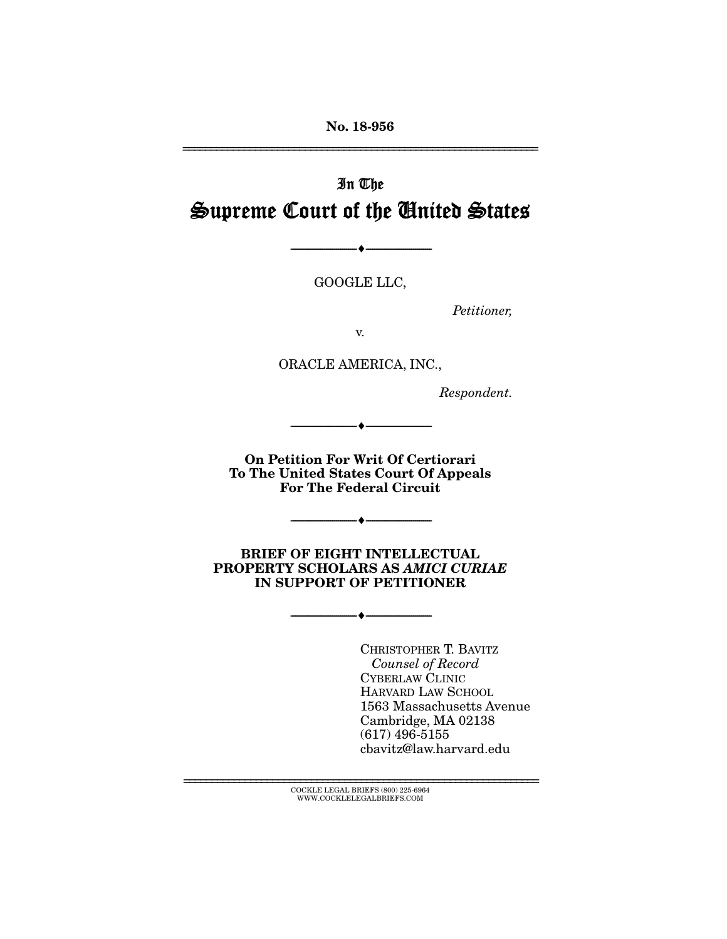No. 18-956

# In The Supreme Court of the United States

GOOGLE LLC,

 $\longrightarrow \hspace{0.2em} \longrightarrow$ 

*Petitioner,* 

================================================================

v.

ORACLE AMERICA, INC.,

*Respondent.* 

On Petition For Writ Of Certiorari To The United States Court Of Appeals For The Federal Circuit

--------------------------------- ---------------------------------

--------------------------------- ---------------------------------

BRIEF OF EIGHT INTELLECTUAL PROPERTY SCHOLARS AS *AMICI CURIAE* IN SUPPORT OF PETITIONER

--------------------------------- ---------------------------------

CHRISTOPHER T. BAVITZ *Counsel of Record*  CYBERLAW CLINIC HARVARD LAW SCHOOL 1563 Massachusetts Avenue Cambridge, MA 02138 (617) 496-5155 cbavitz@law.harvard.edu

================================================================ COCKLE LEGAL BRIEFS (800) 225-6964 WWW.COCKLELEGALBRIEFS.COM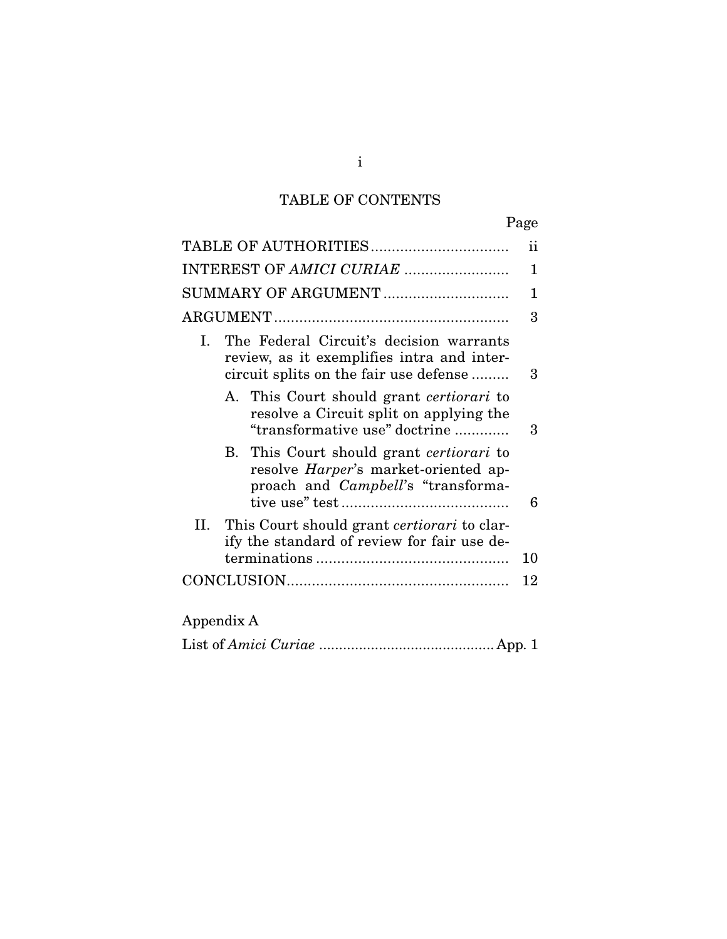## TABLE OF CONTENTS

|--|

| ii<br>1<br>SUMMARY OF ARGUMENT<br>1<br>3<br>The Federal Circuit's decision warrants<br>Ι.<br>review, as it exemplifies intra and inter-<br>circuit splits on the fair use defense<br>3<br>A. This Court should grant certiorari to<br>resolve a Circuit split on applying the<br>"transformative use" doctrine<br>3<br>B. This Court should grant <i>certiorari</i> to<br>resolve Harper's market-oriented ap-<br>proach and <i>Campbell</i> 's "transforma-<br>6<br>II. This Court should grant <i>certiorari</i> to clar-<br>ify the standard of review for fair use de-<br>10<br>12<br>Appendix A |  |
|------------------------------------------------------------------------------------------------------------------------------------------------------------------------------------------------------------------------------------------------------------------------------------------------------------------------------------------------------------------------------------------------------------------------------------------------------------------------------------------------------------------------------------------------------------------------------------------------------|--|
|                                                                                                                                                                                                                                                                                                                                                                                                                                                                                                                                                                                                      |  |
|                                                                                                                                                                                                                                                                                                                                                                                                                                                                                                                                                                                                      |  |
|                                                                                                                                                                                                                                                                                                                                                                                                                                                                                                                                                                                                      |  |
|                                                                                                                                                                                                                                                                                                                                                                                                                                                                                                                                                                                                      |  |
|                                                                                                                                                                                                                                                                                                                                                                                                                                                                                                                                                                                                      |  |
|                                                                                                                                                                                                                                                                                                                                                                                                                                                                                                                                                                                                      |  |
|                                                                                                                                                                                                                                                                                                                                                                                                                                                                                                                                                                                                      |  |
|                                                                                                                                                                                                                                                                                                                                                                                                                                                                                                                                                                                                      |  |
|                                                                                                                                                                                                                                                                                                                                                                                                                                                                                                                                                                                                      |  |
|                                                                                                                                                                                                                                                                                                                                                                                                                                                                                                                                                                                                      |  |

|--|--|

i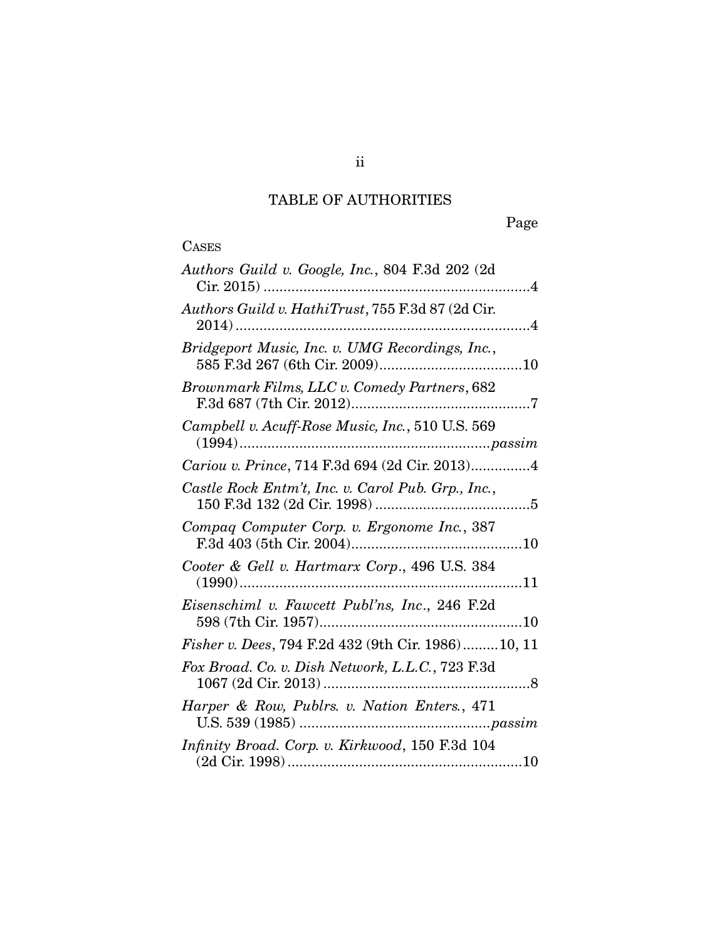## TABLE OF AUTHORITIES

## **CASES**

| Authors Guild v. Google, Inc., 804 F.3d 202 (2d     |
|-----------------------------------------------------|
| Authors Guild v. HathiTrust, 755 F.3d 87 (2d Cir.   |
| Bridgeport Music, Inc. v. UMG Recordings, Inc.,     |
| Brownmark Films, LLC v. Comedy Partners, 682        |
| Campbell v. Acuff-Rose Music, Inc., 510 U.S. 569    |
| Cariou v. Prince, 714 F.3d 694 (2d Cir. 2013)4      |
| Castle Rock Entm't, Inc. v. Carol Pub. Grp., Inc.,  |
| Compaq Computer Corp. v. Ergonome Inc., 387         |
| Cooter & Gell v. Hartmarx Corp., 496 U.S. 384       |
| Eisenschiml v. Fawcett Publ'ns, Inc., 246 F.2d      |
| Fisher v. Dees, 794 F.2d 432 (9th Cir. 1986) 10, 11 |
| Fox Broad. Co. v. Dish Network, L.L.C., 723 F.3d    |
| Harper & Row, Publrs. v. Nation Enters., 471        |
| Infinity Broad. Corp. v. Kirkwood, 150 F.3d 104     |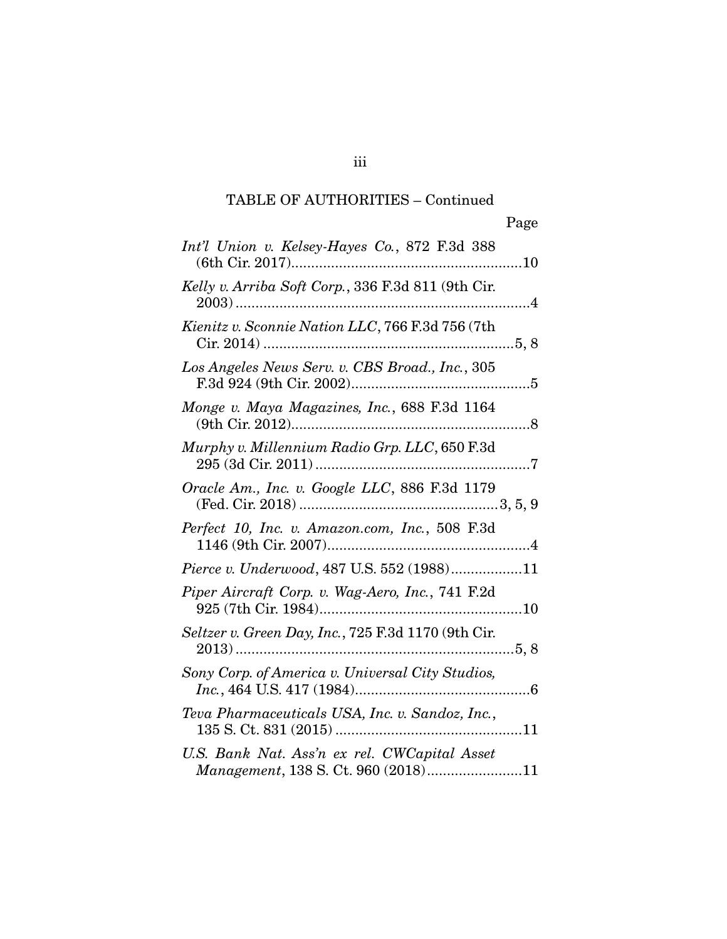## TABLE OF AUTHORITIES – Continued

| Int'l Union v. Kelsey-Hayes Co., 872 F.3d 388                                       |
|-------------------------------------------------------------------------------------|
| Kelly v. Arriba Soft Corp., 336 F.3d 811 (9th Cir.                                  |
| Kienitz v. Sconnie Nation LLC, 766 F.3d 756 (7th                                    |
| Los Angeles News Serv. v. CBS Broad., Inc., 305                                     |
| Monge v. Maya Magazines, Inc., 688 F.3d 1164                                        |
| Murphy v. Millennium Radio Grp. LLC, 650 F.3d                                       |
| Oracle Am., Inc. v. Google LLC, 886 F.3d 1179                                       |
| Perfect 10, Inc. v. Amazon.com, Inc., 508 F.3d                                      |
| Pierce v. Underwood, 487 U.S. 552 (1988)11                                          |
| Piper Aircraft Corp. v. Wag-Aero, Inc., 741 F.2d                                    |
| Seltzer v. Green Day, Inc., 725 F.3d 1170 (9th Cir.                                 |
| Sony Corp. of America v. Universal City Studios,                                    |
| Teva Pharmaceuticals USA, Inc. v. Sandoz, Inc.,                                     |
| U.S. Bank Nat. Ass'n ex rel. CWCapital Asset<br>Management, 138 S. Ct. 960 (2018)11 |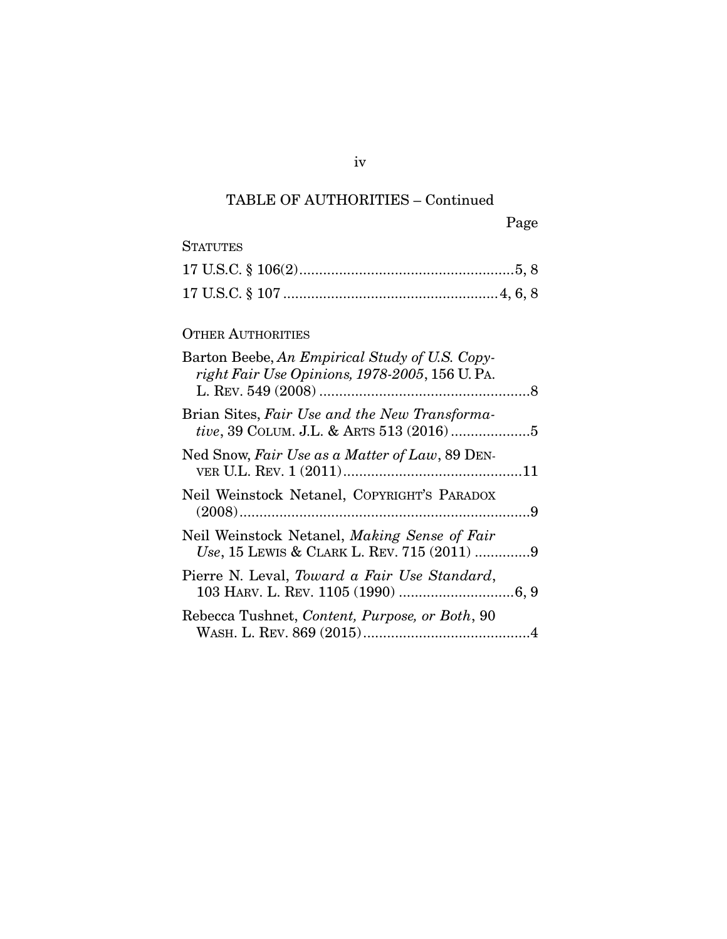## TABLE OF AUTHORITIES – Continued

iv

## **STATUTES**

### OTHER AUTHORITIES

| Barton Beebe, An Empirical Study of U.S. Copy-<br>right Fair Use Opinions, 1978-2005, 156 U. PA. |  |
|--------------------------------------------------------------------------------------------------|--|
| Brian Sites, Fair Use and the New Transforma-                                                    |  |
| Ned Snow, Fair Use as a Matter of Law, 89 DEN-                                                   |  |
| Neil Weinstock Netanel, COPYRIGHT'S PARADOX                                                      |  |
| Neil Weinstock Netanel, Making Sense of Fair<br>Use, 15 LEWIS & CLARK L. REV. 715 (2011) 9       |  |
| Pierre N. Leval, Toward a Fair Use Standard,                                                     |  |
| Rebecca Tushnet, Content, Purpose, or Both, 90                                                   |  |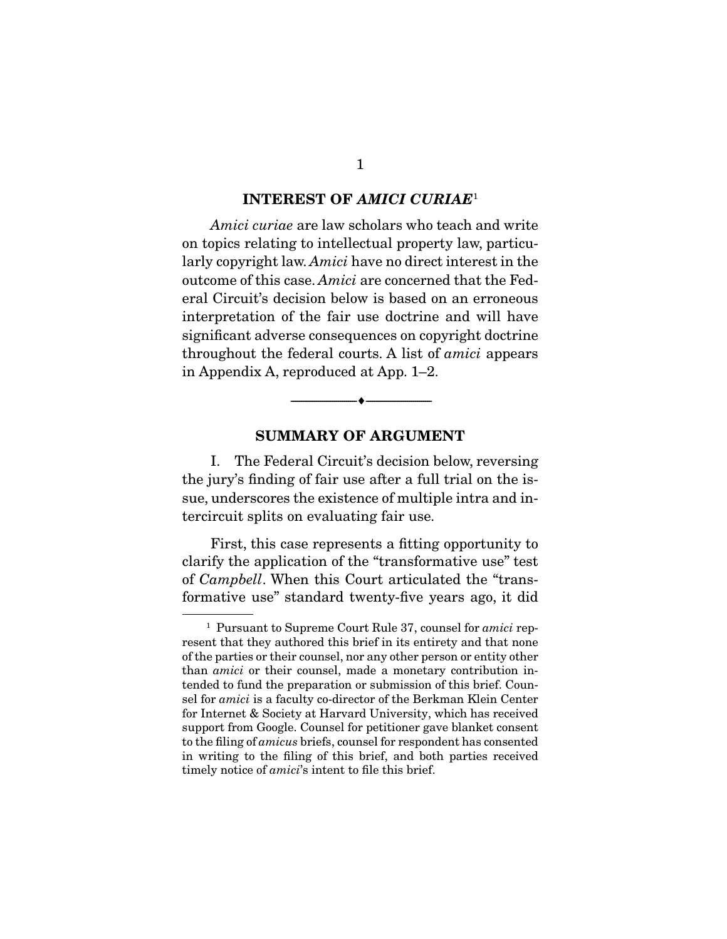#### INTEREST OF *AMICI CURIAE*<sup>1</sup>

*Amici curiae* are law scholars who teach and write on topics relating to intellectual property law, particularly copyright law. *Amici* have no direct interest in the outcome of this case. *Amici* are concerned that the Federal Circuit's decision below is based on an erroneous interpretation of the fair use doctrine and will have significant adverse consequences on copyright doctrine throughout the federal courts. A list of *amici* appears in Appendix A, reproduced at App. 1–2.

#### SUMMARY OF ARGUMENT

--------------------------------- ---------------------------------

 I. The Federal Circuit's decision below, reversing the jury's finding of fair use after a full trial on the issue, underscores the existence of multiple intra and intercircuit splits on evaluating fair use.

 First, this case represents a fitting opportunity to clarify the application of the "transformative use" test of *Campbell*. When this Court articulated the "transformative use" standard twenty-five years ago, it did

<sup>1</sup> Pursuant to Supreme Court Rule 37, counsel for *amici* represent that they authored this brief in its entirety and that none of the parties or their counsel, nor any other person or entity other than *amici* or their counsel, made a monetary contribution intended to fund the preparation or submission of this brief. Counsel for *amici* is a faculty co-director of the Berkman Klein Center for Internet & Society at Harvard University, which has received support from Google. Counsel for petitioner gave blanket consent to the filing of *amicus* briefs, counsel for respondent has consented in writing to the filing of this brief, and both parties received timely notice of *amici*'s intent to file this brief.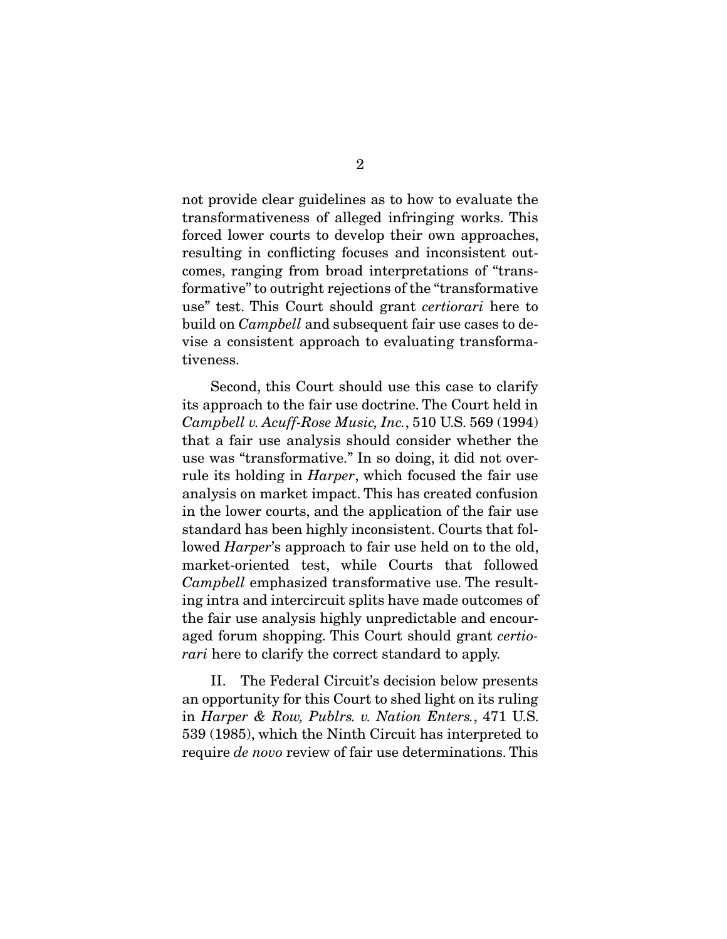not provide clear guidelines as to how to evaluate the transformativeness of alleged infringing works. This forced lower courts to develop their own approaches, resulting in conflicting focuses and inconsistent outcomes, ranging from broad interpretations of "transformative" to outright rejections of the "transformative use" test. This Court should grant *certiorari* here to build on *Campbell* and subsequent fair use cases to devise a consistent approach to evaluating transformativeness.

 Second, this Court should use this case to clarify its approach to the fair use doctrine. The Court held in *Campbell v. Acuff-Rose Music, Inc.*, 510 U.S. 569 (1994) that a fair use analysis should consider whether the use was "transformative." In so doing, it did not overrule its holding in *Harper*, which focused the fair use analysis on market impact. This has created confusion in the lower courts, and the application of the fair use standard has been highly inconsistent. Courts that followed *Harper*'s approach to fair use held on to the old, market-oriented test, while Courts that followed *Campbell* emphasized transformative use. The resulting intra and intercircuit splits have made outcomes of the fair use analysis highly unpredictable and encouraged forum shopping. This Court should grant *certiorari* here to clarify the correct standard to apply.

 II. The Federal Circuit's decision below presents an opportunity for this Court to shed light on its ruling in *Harper & Row, Publrs. v. Nation Enters.*, 471 U.S. 539 (1985), which the Ninth Circuit has interpreted to require *de novo* review of fair use determinations. This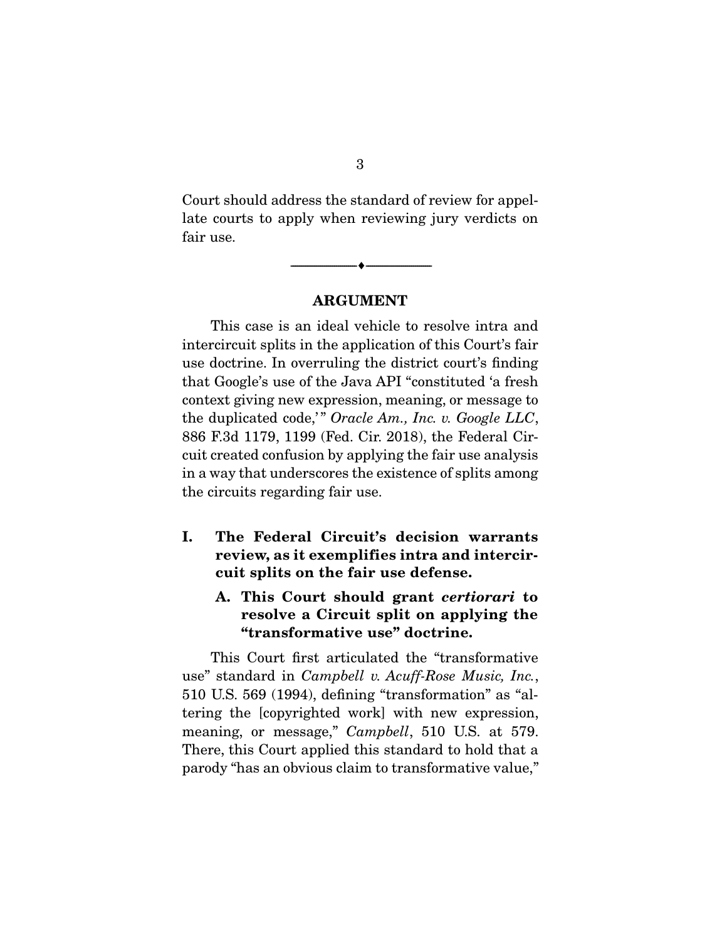Court should address the standard of review for appellate courts to apply when reviewing jury verdicts on fair use.

ARGUMENT

--------------------------------- ---------------------------------

 This case is an ideal vehicle to resolve intra and intercircuit splits in the application of this Court's fair use doctrine. In overruling the district court's finding that Google's use of the Java API "constituted 'a fresh context giving new expression, meaning, or message to the duplicated code," Oracle Am., Inc. v. Google LLC, 886 F.3d 1179, 1199 (Fed. Cir. 2018), the Federal Circuit created confusion by applying the fair use analysis in a way that underscores the existence of splits among the circuits regarding fair use.

- I. The Federal Circuit's decision warrants review, as it exemplifies intra and intercircuit splits on the fair use defense.
	- A. This Court should grant *certiorari* to resolve a Circuit split on applying the "transformative use" doctrine.

 This Court first articulated the "transformative use" standard in *Campbell v. Acuff-Rose Music, Inc.*, 510 U.S. 569 (1994), defining "transformation" as "altering the [copyrighted work] with new expression, meaning, or message," *Campbell*, 510 U.S. at 579. There, this Court applied this standard to hold that a parody "has an obvious claim to transformative value,"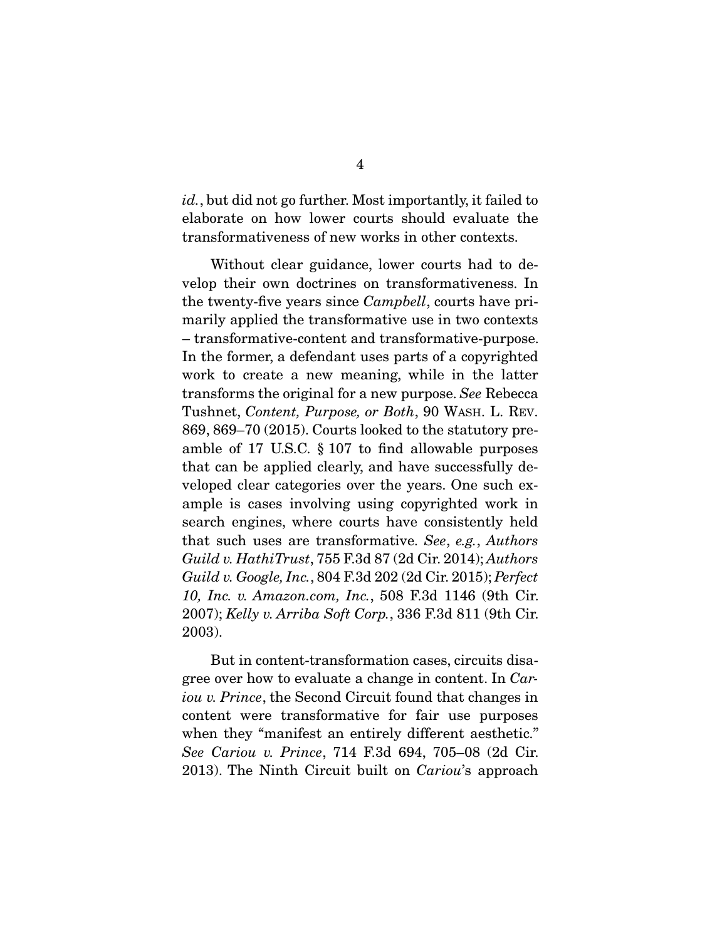*id.*, but did not go further. Most importantly, it failed to elaborate on how lower courts should evaluate the transformativeness of new works in other contexts.

 Without clear guidance, lower courts had to develop their own doctrines on transformativeness. In the twenty-five years since *Campbell*, courts have primarily applied the transformative use in two contexts – transformative-content and transformative-purpose. In the former, a defendant uses parts of a copyrighted work to create a new meaning, while in the latter transforms the original for a new purpose. *See* Rebecca Tushnet, *Content, Purpose, or Both*, 90 WASH. L. REV. 869, 869–70 (2015). Courts looked to the statutory preamble of 17 U.S.C. § 107 to find allowable purposes that can be applied clearly, and have successfully developed clear categories over the years. One such example is cases involving using copyrighted work in search engines, where courts have consistently held that such uses are transformative. *See*, *e.g.*, *Authors Guild v. HathiTrust*, 755 F.3d 87 (2d Cir. 2014); *Authors Guild v. Google, Inc.*, 804 F.3d 202 (2d Cir. 2015); *Perfect 10, Inc. v. Amazon.com, Inc.*, 508 F.3d 1146 (9th Cir. 2007); *Kelly v. Arriba Soft Corp.*, 336 F.3d 811 (9th Cir. 2003).

 But in content-transformation cases, circuits disagree over how to evaluate a change in content. In *Cariou v. Prince*, the Second Circuit found that changes in content were transformative for fair use purposes when they "manifest an entirely different aesthetic." *See Cariou v. Prince*, 714 F.3d 694, 705–08 (2d Cir. 2013). The Ninth Circuit built on *Cariou*'s approach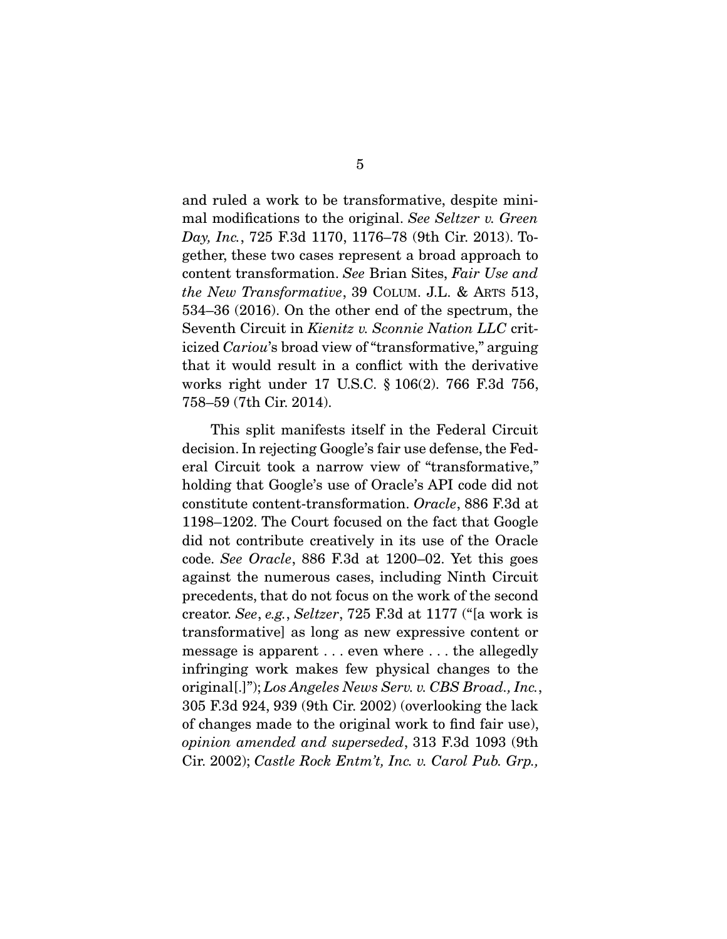and ruled a work to be transformative, despite minimal modifications to the original. *See Seltzer v. Green Day, Inc.*, 725 F.3d 1170, 1176–78 (9th Cir. 2013). Together, these two cases represent a broad approach to content transformation. *See* Brian Sites, *Fair Use and the New Transformative*, 39 COLUM. J.L. & ARTS 513, 534–36 (2016). On the other end of the spectrum, the Seventh Circuit in *Kienitz v. Sconnie Nation LLC* criticized *Cariou*'s broad view of "transformative," arguing that it would result in a conflict with the derivative works right under 17 U.S.C. § 106(2). 766 F.3d 756, 758–59 (7th Cir. 2014).

 This split manifests itself in the Federal Circuit decision. In rejecting Google's fair use defense, the Federal Circuit took a narrow view of "transformative," holding that Google's use of Oracle's API code did not constitute content-transformation. *Oracle*, 886 F.3d at 1198–1202. The Court focused on the fact that Google did not contribute creatively in its use of the Oracle code. *See Oracle*, 886 F.3d at 1200–02. Yet this goes against the numerous cases, including Ninth Circuit precedents, that do not focus on the work of the second creator. *See*, *e.g.*, *Seltzer*, 725 F.3d at 1177 ("[a work is transformative] as long as new expressive content or message is apparent . . . even where . . . the allegedly infringing work makes few physical changes to the original[.]"); *Los Angeles News Serv. v. CBS Broad., Inc.*, 305 F.3d 924, 939 (9th Cir. 2002) (overlooking the lack of changes made to the original work to find fair use), *opinion amended and superseded*, 313 F.3d 1093 (9th Cir. 2002); *Castle Rock Entm't, Inc. v. Carol Pub. Grp.,*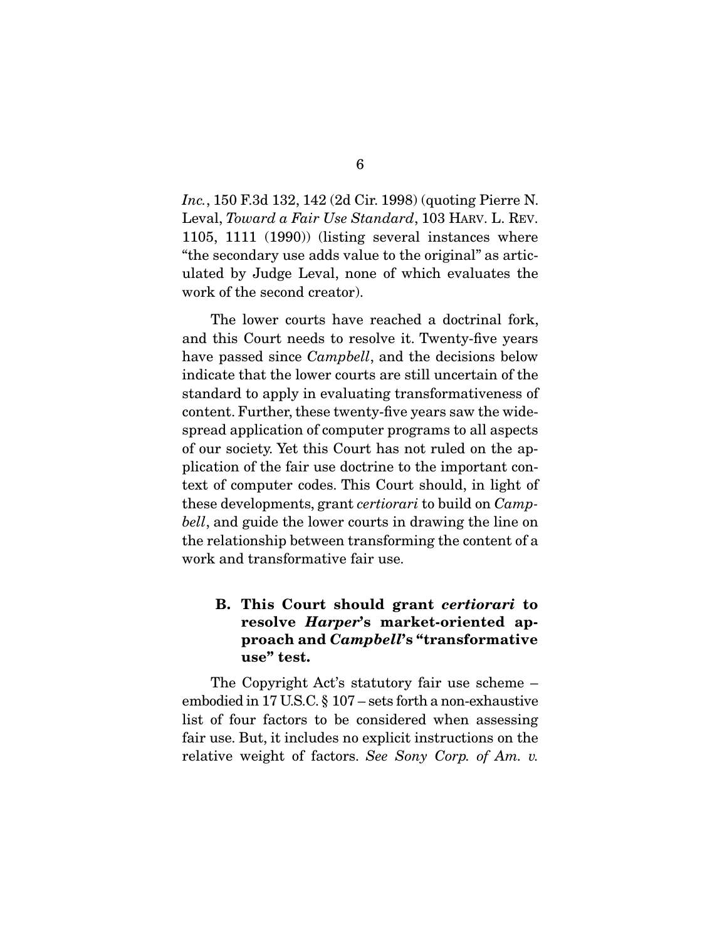*Inc.*, 150 F.3d 132, 142 (2d Cir. 1998) (quoting Pierre N. Leval, *Toward a Fair Use Standard*, 103 HARV. L. REV. 1105, 1111 (1990)) (listing several instances where "the secondary use adds value to the original" as articulated by Judge Leval, none of which evaluates the work of the second creator).

 The lower courts have reached a doctrinal fork, and this Court needs to resolve it. Twenty-five years have passed since *Campbell*, and the decisions below indicate that the lower courts are still uncertain of the standard to apply in evaluating transformativeness of content. Further, these twenty-five years saw the widespread application of computer programs to all aspects of our society. Yet this Court has not ruled on the application of the fair use doctrine to the important context of computer codes. This Court should, in light of these developments, grant *certiorari* to build on *Campbell*, and guide the lower courts in drawing the line on the relationship between transforming the content of a work and transformative fair use.

### B. This Court should grant *certiorari* to resolve *Harper*'s market-oriented approach and *Campbell*'s "transformative use" test.

 The Copyright Act's statutory fair use scheme – embodied in 17 U.S.C. § 107 – sets forth a non-exhaustive list of four factors to be considered when assessing fair use. But, it includes no explicit instructions on the relative weight of factors. *See Sony Corp. of Am. v.*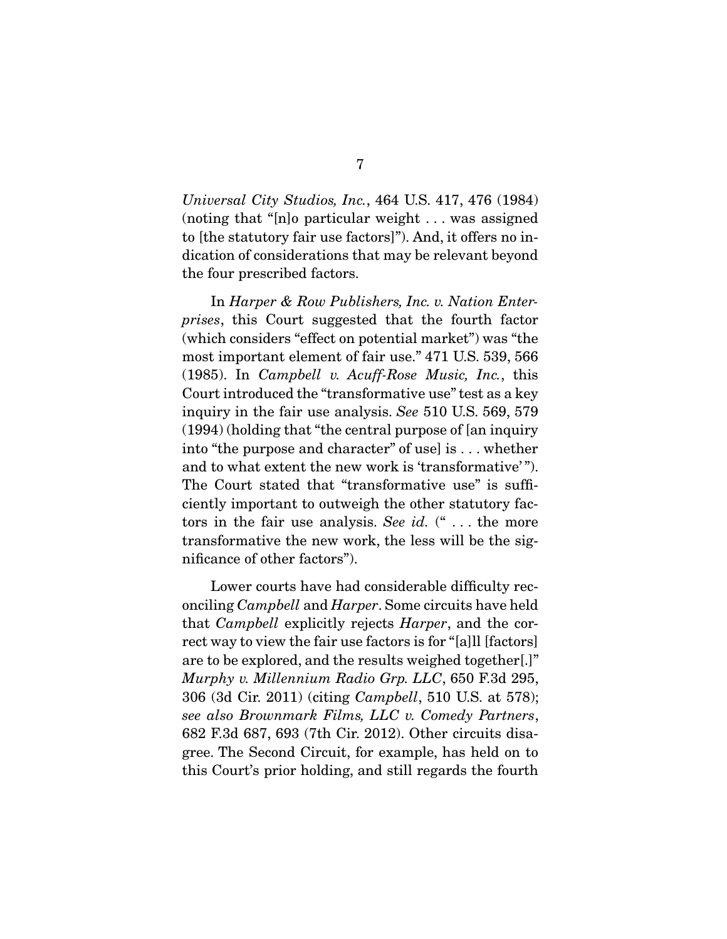*Universal City Studios, Inc.*, 464 U.S. 417, 476 (1984) (noting that "[n]o particular weight . . . was assigned to [the statutory fair use factors]"). And, it offers no indication of considerations that may be relevant beyond the four prescribed factors.

 In *Harper & Row Publishers, Inc. v. Nation Enterprises*, this Court suggested that the fourth factor (which considers "effect on potential market") was "the most important element of fair use." 471 U.S. 539, 566 (1985). In *Campbell v. Acuff-Rose Music, Inc.*, this Court introduced the "transformative use" test as a key inquiry in the fair use analysis. *See* 510 U.S. 569, 579 (1994) (holding that "the central purpose of [an inquiry into "the purpose and character" of use] is . . . whether and to what extent the new work is 'transformative' "). The Court stated that "transformative use" is sufficiently important to outweigh the other statutory factors in the fair use analysis. *See id.* (" . . . the more transformative the new work, the less will be the significance of other factors").

 Lower courts have had considerable difficulty reconciling *Campbell* and *Harper*. Some circuits have held that *Campbell* explicitly rejects *Harper*, and the correct way to view the fair use factors is for "[a]ll [factors] are to be explored, and the results weighed together[.]" *Murphy v. Millennium Radio Grp. LLC*, 650 F.3d 295, 306 (3d Cir. 2011) (citing *Campbell*, 510 U.S. at 578); *see also Brownmark Films, LLC v. Comedy Partners*, 682 F.3d 687, 693 (7th Cir. 2012). Other circuits disagree. The Second Circuit, for example, has held on to this Court's prior holding, and still regards the fourth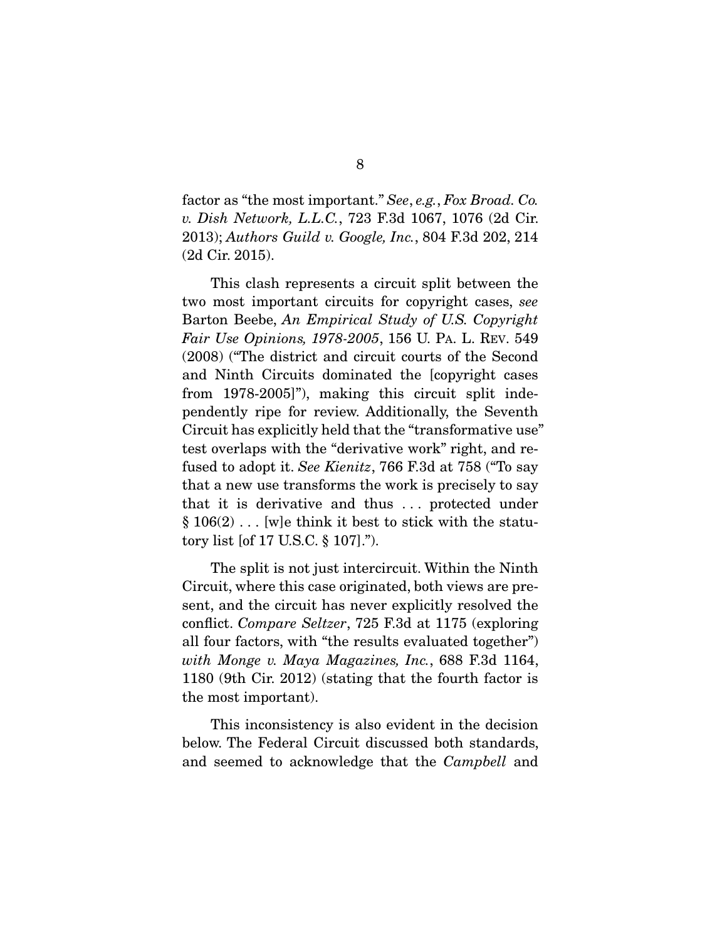factor as "the most important." *See*, *e.g.*, *Fox Broad. Co. v. Dish Network, L.L.C.*, 723 F.3d 1067, 1076 (2d Cir. 2013); *Authors Guild v. Google, Inc.*, 804 F.3d 202, 214 (2d Cir. 2015).

 This clash represents a circuit split between the two most important circuits for copyright cases, *see*  Barton Beebe, *An Empirical Study of U.S. Copyright Fair Use Opinions, 1978-2005*, 156 U. PA. L. REV. 549 (2008) ("The district and circuit courts of the Second and Ninth Circuits dominated the [copyright cases from 1978-2005]"), making this circuit split independently ripe for review. Additionally, the Seventh Circuit has explicitly held that the "transformative use" test overlaps with the "derivative work" right, and refused to adopt it. *See Kienitz*, 766 F.3d at 758 ("To say that a new use transforms the work is precisely to say that it is derivative and thus . . . protected under  $\S 106(2)$ ... [w]e think it best to stick with the statutory list [of 17 U.S.C. § 107].").

 The split is not just intercircuit. Within the Ninth Circuit, where this case originated, both views are present, and the circuit has never explicitly resolved the conflict. *Compare Seltzer*, 725 F.3d at 1175 (exploring all four factors, with "the results evaluated together") *with Monge v. Maya Magazines, Inc.*, 688 F.3d 1164, 1180 (9th Cir. 2012) (stating that the fourth factor is the most important).

 This inconsistency is also evident in the decision below. The Federal Circuit discussed both standards, and seemed to acknowledge that the *Campbell* and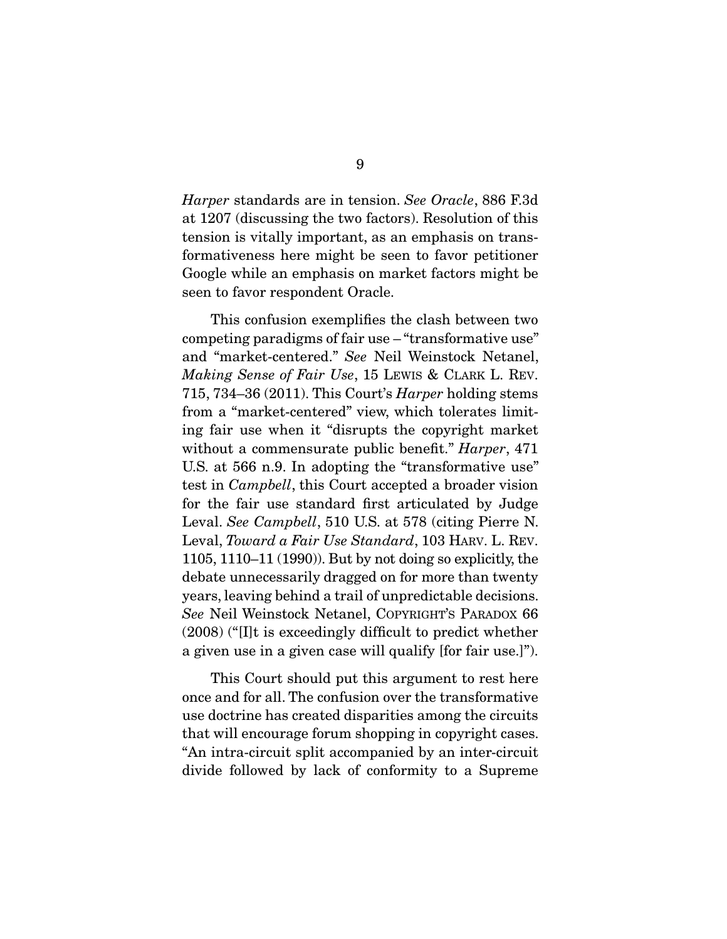*Harper* standards are in tension. *See Oracle*, 886 F.3d at 1207 (discussing the two factors). Resolution of this tension is vitally important, as an emphasis on transformativeness here might be seen to favor petitioner Google while an emphasis on market factors might be seen to favor respondent Oracle.

 This confusion exemplifies the clash between two competing paradigms of fair use – "transformative use" and "market-centered." *See* Neil Weinstock Netanel, *Making Sense of Fair Use*, 15 LEWIS & CLARK L. REV. 715, 734–36 (2011). This Court's *Harper* holding stems from a "market-centered" view, which tolerates limiting fair use when it "disrupts the copyright market without a commensurate public benefit." *Harper*, 471 U.S. at 566 n.9. In adopting the "transformative use" test in *Campbell*, this Court accepted a broader vision for the fair use standard first articulated by Judge Leval. *See Campbell*, 510 U.S. at 578 (citing Pierre N. Leval, *Toward a Fair Use Standard*, 103 HARV. L. REV. 1105, 1110–11 (1990)). But by not doing so explicitly, the debate unnecessarily dragged on for more than twenty years, leaving behind a trail of unpredictable decisions. *See* Neil Weinstock Netanel, COPYRIGHT'S PARADOX 66 (2008) ("[I]t is exceedingly difficult to predict whether a given use in a given case will qualify [for fair use.]").

 This Court should put this argument to rest here once and for all. The confusion over the transformative use doctrine has created disparities among the circuits that will encourage forum shopping in copyright cases. "An intra-circuit split accompanied by an inter-circuit divide followed by lack of conformity to a Supreme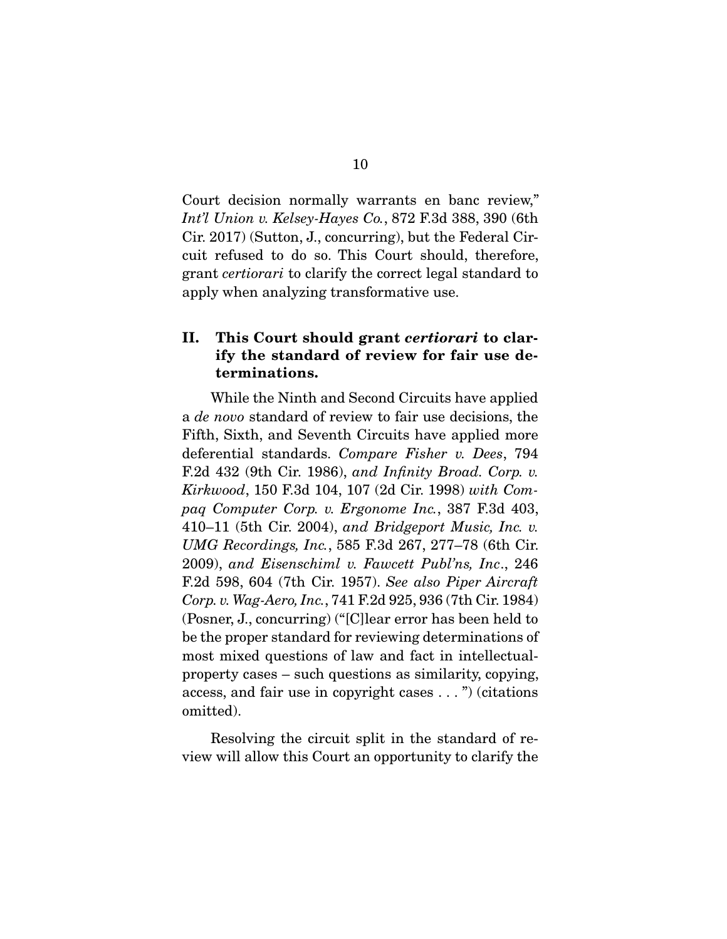Court decision normally warrants en banc review," *Int'l Union v. Kelsey-Hayes Co.*, 872 F.3d 388, 390 (6th Cir. 2017) (Sutton, J., concurring), but the Federal Circuit refused to do so. This Court should, therefore, grant *certiorari* to clarify the correct legal standard to apply when analyzing transformative use.

### II. This Court should grant *certiorari* to clarify the standard of review for fair use determinations.

 While the Ninth and Second Circuits have applied a *de novo* standard of review to fair use decisions, the Fifth, Sixth, and Seventh Circuits have applied more deferential standards. *Compare Fisher v. Dees*, 794 F.2d 432 (9th Cir. 1986), *and Infinity Broad. Corp. v. Kirkwood*, 150 F.3d 104, 107 (2d Cir. 1998) *with Compaq Computer Corp. v. Ergonome Inc.*, 387 F.3d 403, 410–11 (5th Cir. 2004), *and Bridgeport Music, Inc. v. UMG Recordings, Inc.*, 585 F.3d 267, 277–78 (6th Cir. 2009), *and Eisenschiml v. Fawcett Publ'ns, Inc*., 246 F.2d 598, 604 (7th Cir. 1957). *See also Piper Aircraft Corp. v. Wag-Aero, Inc.*, 741 F.2d 925, 936 (7th Cir. 1984) (Posner, J., concurring) ("[C]lear error has been held to be the proper standard for reviewing determinations of most mixed questions of law and fact in intellectualproperty cases – such questions as similarity, copying, access, and fair use in copyright cases . . . ") (citations omitted).

 Resolving the circuit split in the standard of review will allow this Court an opportunity to clarify the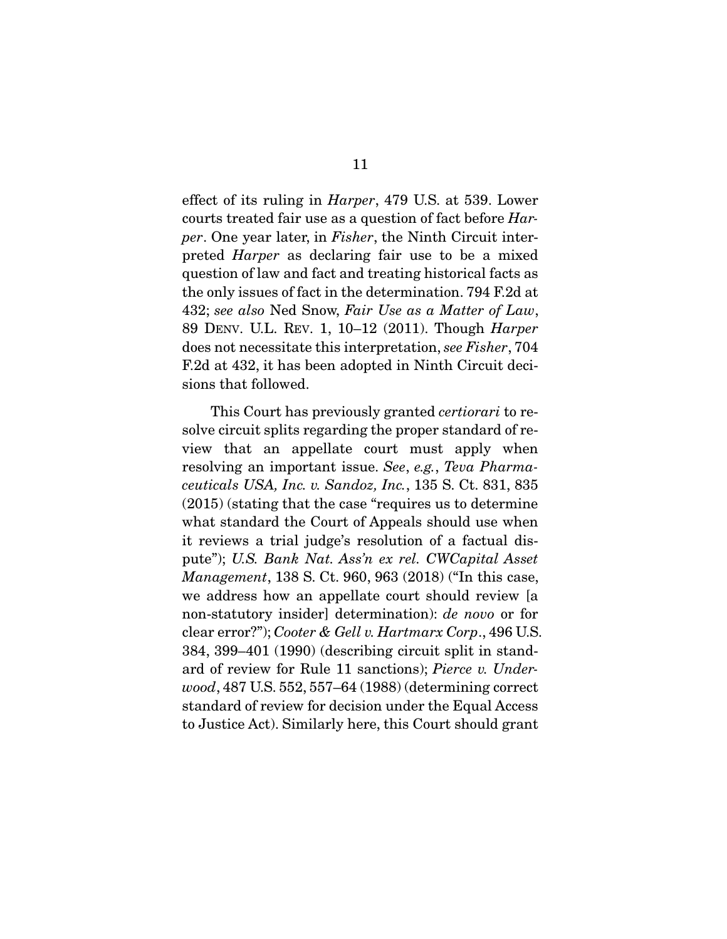effect of its ruling in *Harper*, 479 U.S. at 539. Lower courts treated fair use as a question of fact before *Harper*. One year later, in *Fisher*, the Ninth Circuit interpreted *Harper* as declaring fair use to be a mixed question of law and fact and treating historical facts as the only issues of fact in the determination. 794 F.2d at 432; *see also* Ned Snow, *Fair Use as a Matter of Law*, 89 DENV. U.L. REV. 1, 10–12 (2011). Though *Harper* does not necessitate this interpretation, *see Fisher*, 704 F.2d at 432, it has been adopted in Ninth Circuit decisions that followed.

 This Court has previously granted *certiorari* to resolve circuit splits regarding the proper standard of review that an appellate court must apply when resolving an important issue. *See*, *e.g.*, *Teva Pharmaceuticals USA, Inc. v. Sandoz, Inc.*, 135 S. Ct. 831, 835 (2015) (stating that the case "requires us to determine what standard the Court of Appeals should use when it reviews a trial judge's resolution of a factual dispute"); *U.S. Bank Nat. Ass'n ex rel. CWCapital Asset Management*, 138 S. Ct. 960, 963 (2018) ("In this case, we address how an appellate court should review [a non-statutory insider] determination): *de novo* or for clear error?"); *Cooter & Gell v. Hartmarx Corp*., 496 U.S. 384, 399–401 (1990) (describing circuit split in standard of review for Rule 11 sanctions); *Pierce v. Underwood*, 487 U.S. 552, 557–64 (1988) (determining correct standard of review for decision under the Equal Access to Justice Act). Similarly here, this Court should grant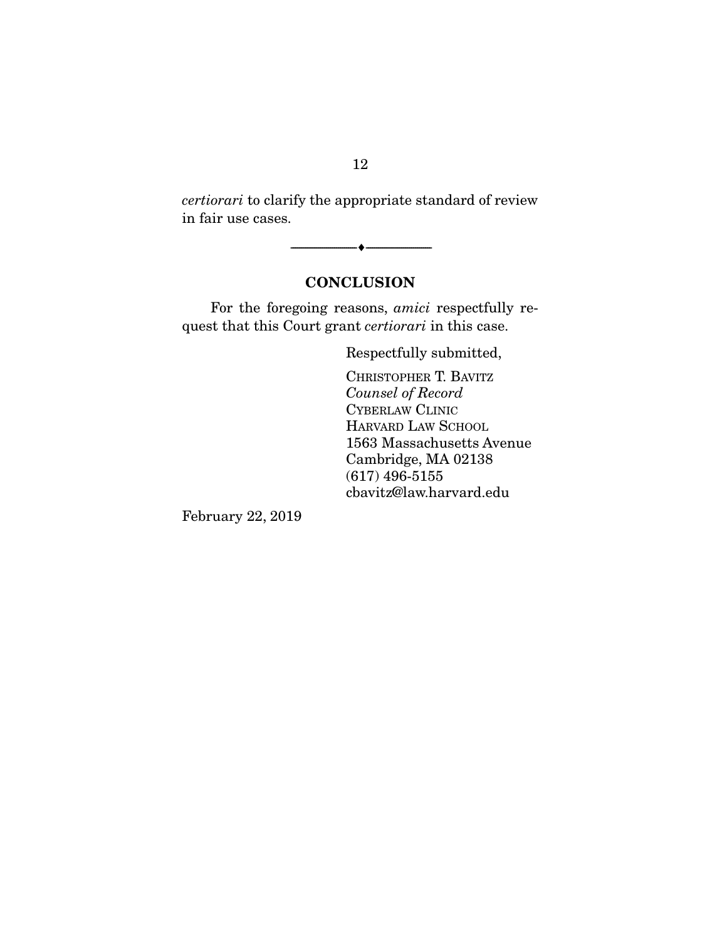*certiorari* to clarify the appropriate standard of review in fair use cases.

--------------------------------- ---------------------------------

## **CONCLUSION**

 For the foregoing reasons, *amici* respectfully request that this Court grant *certiorari* in this case.

Respectfully submitted,

CHRISTOPHER T. BAVITZ *Counsel of Record*  CYBERLAW CLINIC HARVARD LAW SCHOOL 1563 Massachusetts Avenue Cambridge, MA 02138 (617) 496-5155 cbavitz@law.harvard.edu

February 22, 2019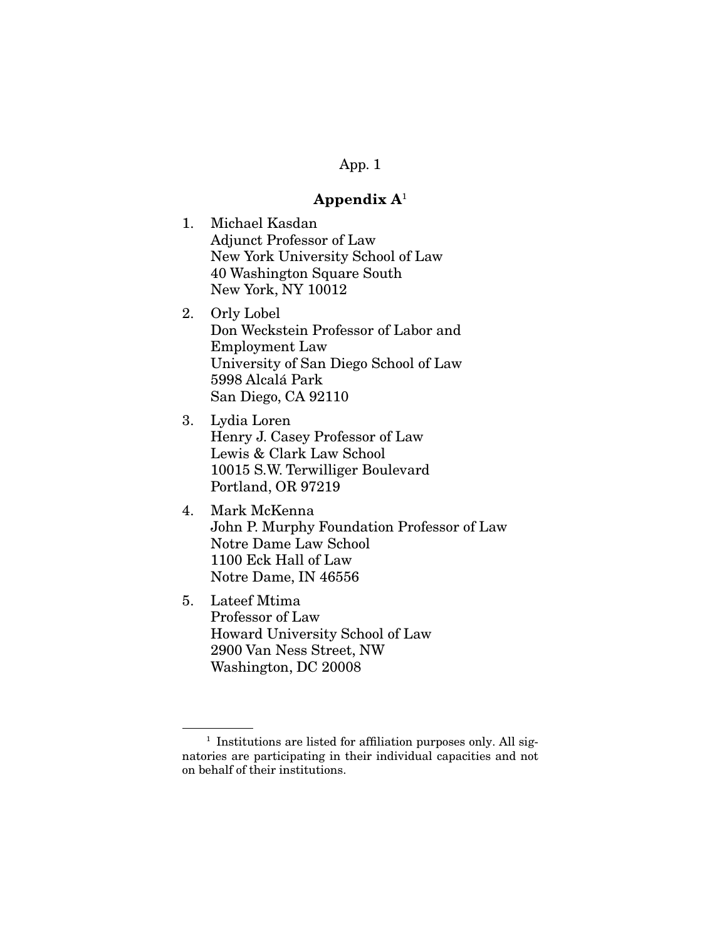### App. 1

#### Appendix  $A^1$

- 1. Michael Kasdan Adjunct Professor of Law New York University School of Law 40 Washington Square South New York, NY 10012
- 2. Orly Lobel Don Weckstein Professor of Labor and Employment Law University of San Diego School of Law 5998 Alcalá Park San Diego, CA 92110
- 3. Lydia Loren Henry J. Casey Professor of Law Lewis & Clark Law School 10015 S.W. Terwilliger Boulevard Portland, OR 97219
- 4. Mark McKenna John P. Murphy Foundation Professor of Law Notre Dame Law School 1100 Eck Hall of Law Notre Dame, IN 46556
- 5. Lateef Mtima Professor of Law Howard University School of Law 2900 Van Ness Street, NW Washington, DC 20008

<sup>&</sup>lt;sup>1</sup> Institutions are listed for affiliation purposes only. All signatories are participating in their individual capacities and not on behalf of their institutions.